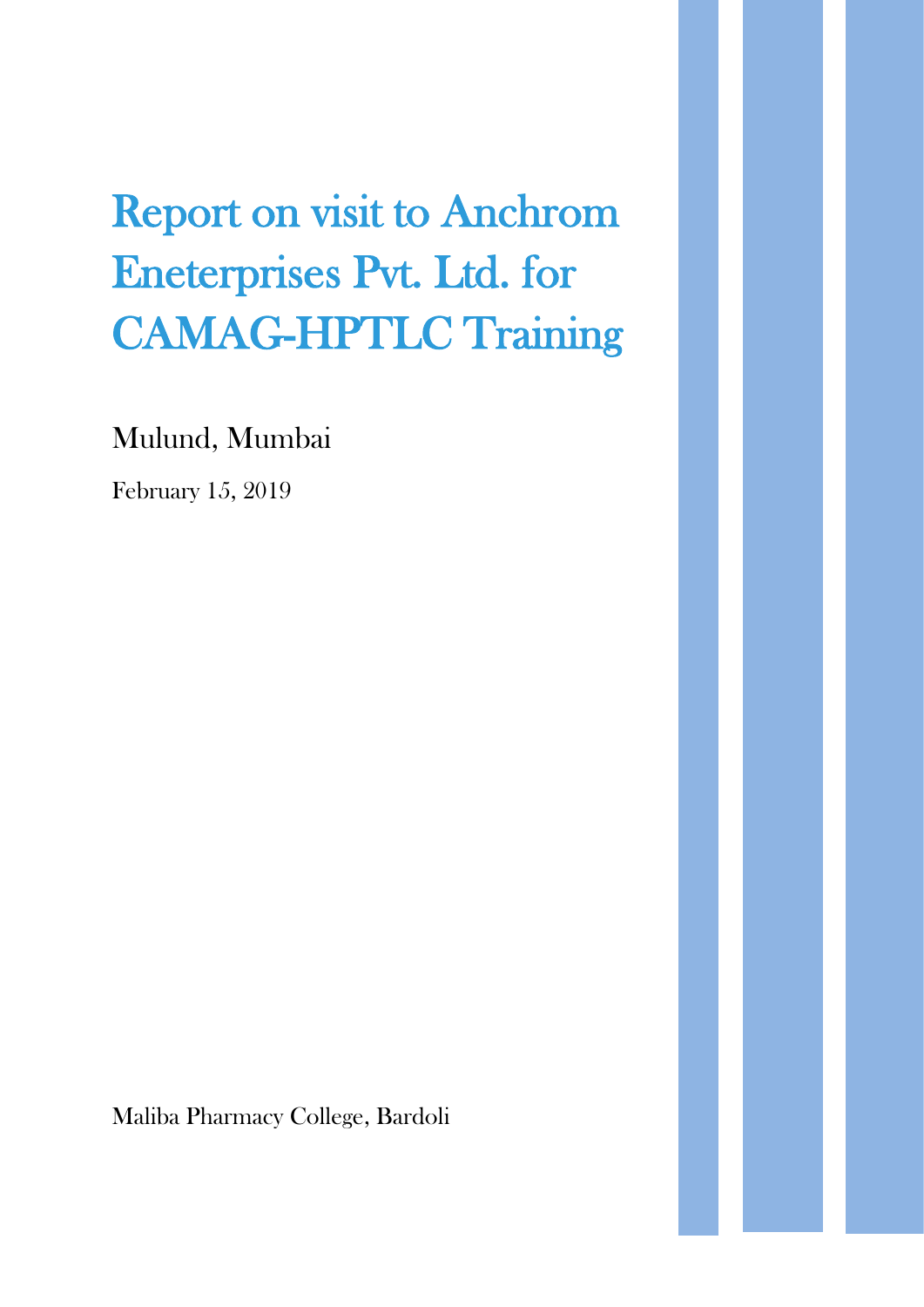## Report on visit to Anchrom Eneterprises Pvt. Ltd. for CAMAG-HPTLC Training

Mulund, Mumbai

February 15, 2019

Maliba Pharmacy College, Bardoli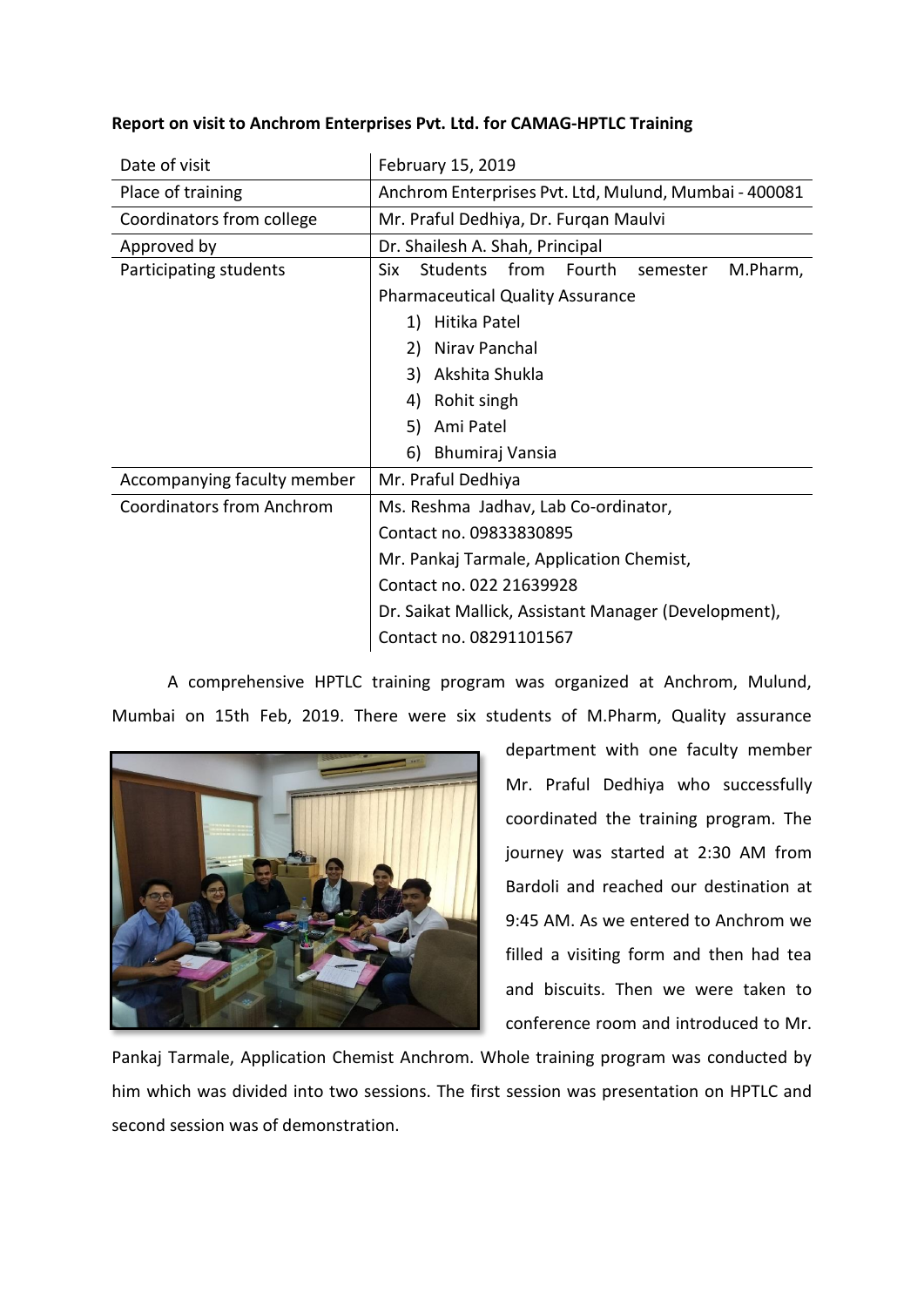| Report on visit to Anchrom Enterprises Pvt. Ltd. for CAMAG-HPTLC Training |  |  |  |
|---------------------------------------------------------------------------|--|--|--|
|                                                                           |  |  |  |

| Date of visit                    | February 15, 2019                                         |  |  |  |  |
|----------------------------------|-----------------------------------------------------------|--|--|--|--|
| Place of training                | Anchrom Enterprises Pvt. Ltd, Mulund, Mumbai - 400081     |  |  |  |  |
| Coordinators from college        | Mr. Praful Dedhiya, Dr. Furgan Maulvi                     |  |  |  |  |
| Approved by                      | Dr. Shailesh A. Shah, Principal                           |  |  |  |  |
| Participating students           | Students<br>from<br>Fourth<br>M.Pharm,<br>Six<br>semester |  |  |  |  |
|                                  | <b>Pharmaceutical Quality Assurance</b>                   |  |  |  |  |
|                                  | Hitika Patel<br>1)                                        |  |  |  |  |
|                                  | Nirav Panchal<br>2)                                       |  |  |  |  |
|                                  | Akshita Shukla<br>3)                                      |  |  |  |  |
|                                  | 4)<br>Rohit singh                                         |  |  |  |  |
|                                  | Ami Patel<br>5)                                           |  |  |  |  |
|                                  | 6)<br>Bhumiraj Vansia                                     |  |  |  |  |
| Accompanying faculty member      | Mr. Praful Dedhiya                                        |  |  |  |  |
| <b>Coordinators from Anchrom</b> | Ms. Reshma Jadhav, Lab Co-ordinator,                      |  |  |  |  |
|                                  | Contact no. 09833830895                                   |  |  |  |  |
|                                  | Mr. Pankaj Tarmale, Application Chemist,                  |  |  |  |  |
|                                  | Contact no. 022 21639928                                  |  |  |  |  |
|                                  | Dr. Saikat Mallick, Assistant Manager (Development),      |  |  |  |  |
|                                  | Contact no. 08291101567                                   |  |  |  |  |

A comprehensive HPTLC training program was organized at Anchrom, Mulund, Mumbai on 15th Feb, 2019. There were six students of M.Pharm, Quality assurance



department with one faculty member Mr. Praful Dedhiya who successfully coordinated the training program. The journey was started at 2:30 AM from Bardoli and reached our destination at 9:45 AM. As we entered to Anchrom we filled a visiting form and then had tea and biscuits. Then we were taken to conference room and introduced to Mr.

Pankaj Tarmale, Application Chemist Anchrom. Whole training program was conducted by him which was divided into two sessions. The first session was presentation on HPTLC and second session was of demonstration.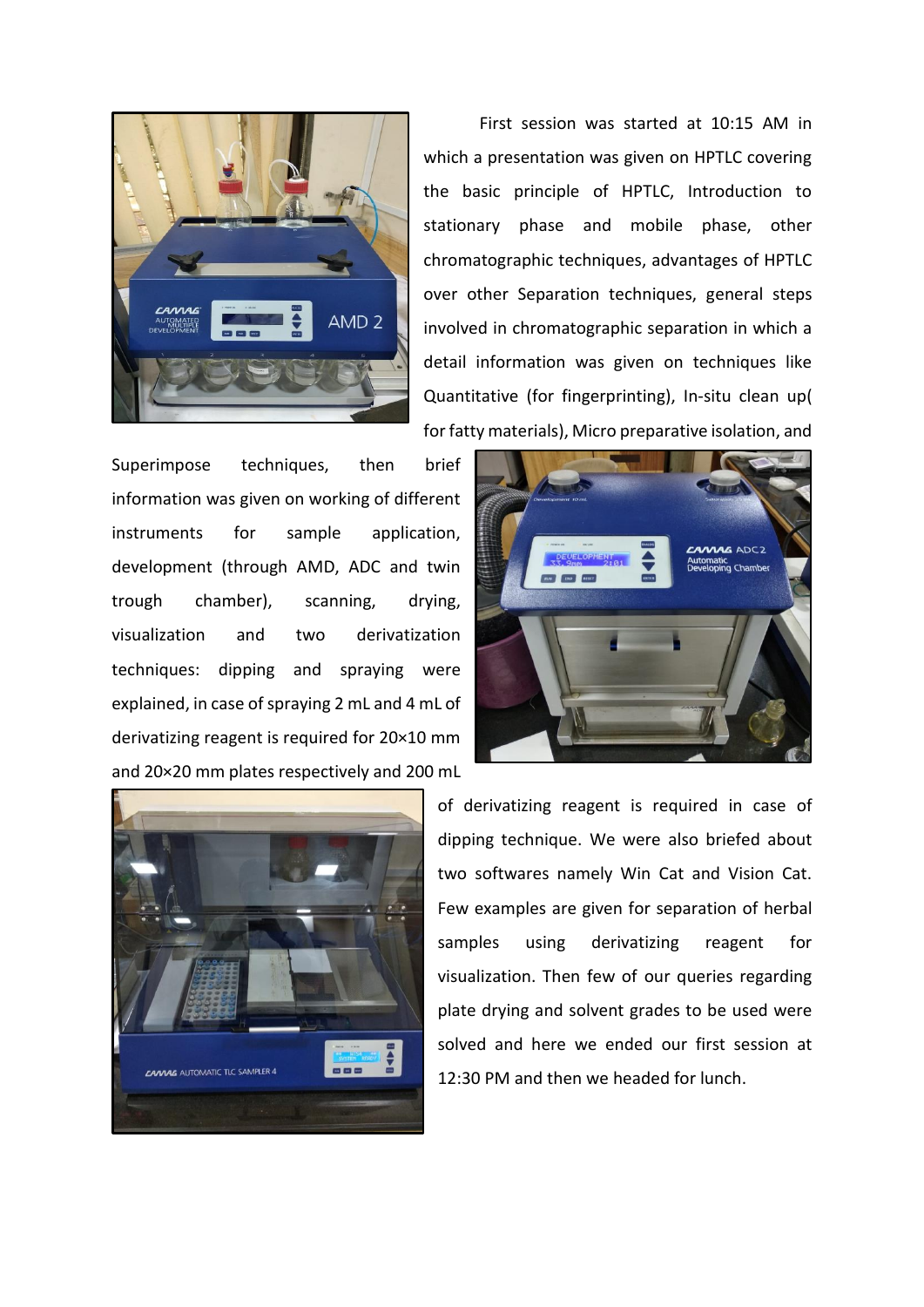

First session was started at 10:15 AM in which a presentation was given on HPTLC covering the basic principle of HPTLC, Introduction to stationary phase and mobile phase, other chromatographic techniques, advantages of HPTLC over other Separation techniques, general steps involved in chromatographic separation in which a detail information was given on techniques like Quantitative (for fingerprinting), In-situ clean up( for fatty materials), Micro preparative isolation, and

Superimpose techniques, then brief information was given on working of different instruments for sample application, development (through AMD, ADC and twin trough chamber), scanning, drying, visualization and two derivatization techniques: dipping and spraying were explained, in case of spraying 2 mL and 4 mL of derivatizing reagent is required for 20×10 mm and 20×20 mm plates respectively and 200 mL





of derivatizing reagent is required in case of dipping technique. We were also briefed about two softwares namely Win Cat and Vision Cat. Few examples are given for separation of herbal samples using derivatizing reagent for visualization. Then few of our queries regarding plate drying and solvent grades to be used were solved and here we ended our first session at 12:30 PM and then we headed for lunch.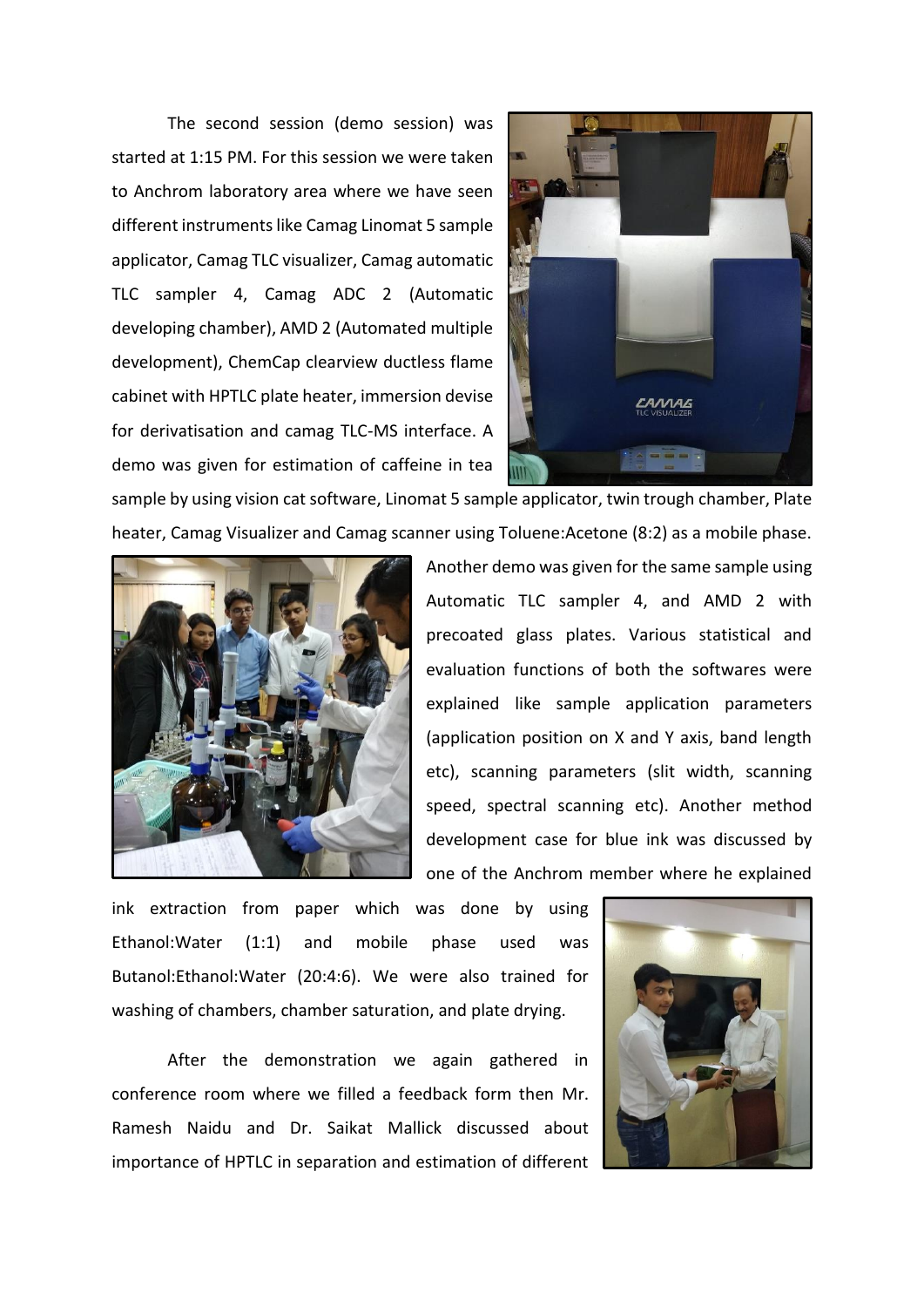The second session (demo session) was started at 1:15 PM. For this session we were taken to Anchrom laboratory area where we have seen different instruments like Camag Linomat 5 sample applicator, Camag TLC visualizer, Camag automatic TLC sampler 4, Camag ADC 2 (Automatic developing chamber), AMD 2 (Automated multiple development), ChemCap clearview ductless flame cabinet with HPTLC plate heater, immersion devise for derivatisation and camag TLC-MS interface. A demo was given for estimation of caffeine in tea



sample by using vision cat software, Linomat 5 sample applicator, twin trough chamber, Plate heater, Camag Visualizer and Camag scanner using Toluene:Acetone (8:2) as a mobile phase.



Another demo was given for the same sample using Automatic TLC sampler 4, and AMD 2 with precoated glass plates. Various statistical and evaluation functions of both the softwares were explained like sample application parameters (application position on X and Y axis, band length etc), scanning parameters (slit width, scanning speed, spectral scanning etc). Another method development case for blue ink was discussed by one of the Anchrom member where he explained

ink extraction from paper which was done by using Ethanol:Water (1:1) and mobile phase used was Butanol:Ethanol:Water (20:4:6). We were also trained for washing of chambers, chamber saturation, and plate drying.

After the demonstration we again gathered in conference room where we filled a feedback form then Mr. Ramesh Naidu and Dr. Saikat Mallick discussed about importance of HPTLC in separation and estimation of different